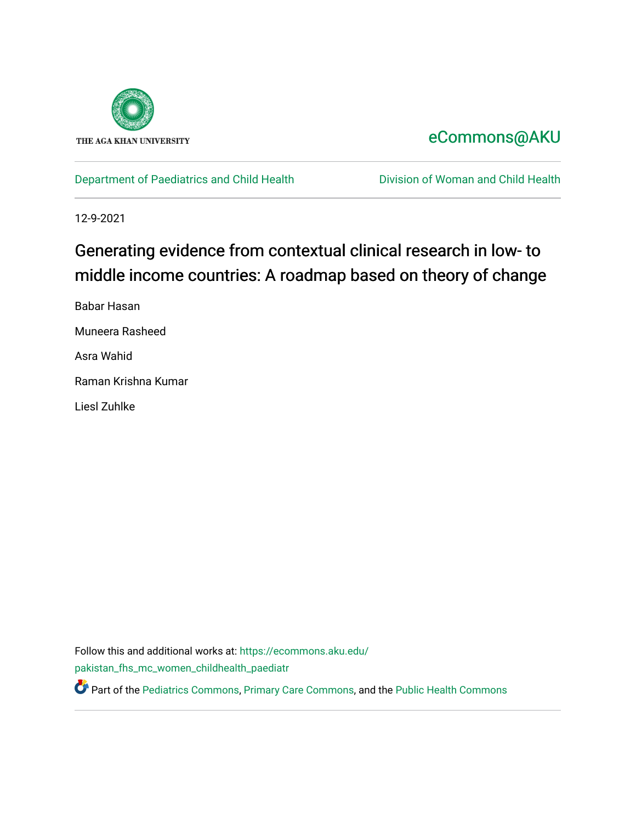

## [eCommons@AKU](https://ecommons.aku.edu/)

[Department of Paediatrics and Child Health](https://ecommons.aku.edu/pakistan_fhs_mc_women_childhealth_paediatr) **Division of Woman and Child Health** 

12-9-2021

## Generating evidence from contextual clinical research in low- to middle income countries: A roadmap based on theory of change

Babar Hasan Muneera Rasheed Asra Wahid Raman Krishna Kumar Liesl Zuhlke

Follow this and additional works at: [https://ecommons.aku.edu/](https://ecommons.aku.edu/pakistan_fhs_mc_women_childhealth_paediatr?utm_source=ecommons.aku.edu%2Fpakistan_fhs_mc_women_childhealth_paediatr%2F1105&utm_medium=PDF&utm_campaign=PDFCoverPages) [pakistan\\_fhs\\_mc\\_women\\_childhealth\\_paediatr](https://ecommons.aku.edu/pakistan_fhs_mc_women_childhealth_paediatr?utm_source=ecommons.aku.edu%2Fpakistan_fhs_mc_women_childhealth_paediatr%2F1105&utm_medium=PDF&utm_campaign=PDFCoverPages) 

Part of the [Pediatrics Commons](http://network.bepress.com/hgg/discipline/700?utm_source=ecommons.aku.edu%2Fpakistan_fhs_mc_women_childhealth_paediatr%2F1105&utm_medium=PDF&utm_campaign=PDFCoverPages), [Primary Care Commons,](http://network.bepress.com/hgg/discipline/1092?utm_source=ecommons.aku.edu%2Fpakistan_fhs_mc_women_childhealth_paediatr%2F1105&utm_medium=PDF&utm_campaign=PDFCoverPages) and the [Public Health Commons](http://network.bepress.com/hgg/discipline/738?utm_source=ecommons.aku.edu%2Fpakistan_fhs_mc_women_childhealth_paediatr%2F1105&utm_medium=PDF&utm_campaign=PDFCoverPages)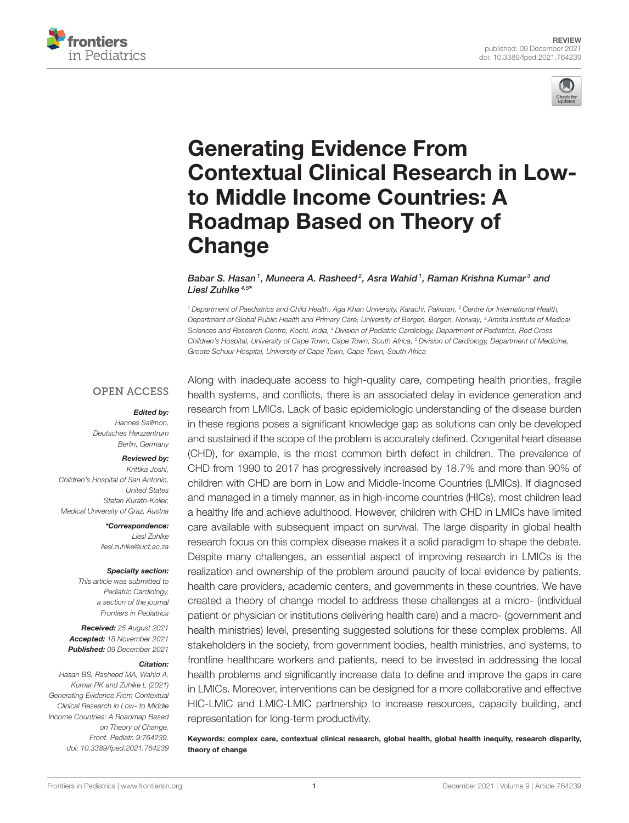



# Generating Evidence From [Contextual Clinical Research in Low](https://www.frontiersin.org/articles/10.3389/fped.2021.764239/full)to Middle Income Countries: A Roadmap Based on Theory of **Change**

Babar S. Hasan1, Muneera A. Rasheed<sup>2</sup>, Asra Wahid1, Raman Krishna Kumar<sup>3</sup> and Liesl Zuhlke<sup>4,5\*</sup>

*<sup>1</sup> Department of Paediatrics and Child Health, Aga Khan University, Karachi, Pakistan, <sup>2</sup> Centre for International Health, Department of Global Public Health and Primary Care, University of Bergen, Bergen, Norway, <sup>3</sup> Amrita Institute of Medical Sciences and Research Centre, Kochi, India, <sup>4</sup> Division of Pediatric Cardiology, Department of Pediatrics, Red Cross Children's Hospital, University of Cape Town, Cape Town, South Africa, <sup>5</sup> Division of Cardiology, Department of Medicine, Groote Schuur Hospital, University of Cape Town, Cape Town, South Africa*

#### **OPEN ACCESS**

#### Edited by:

*Hannes Sallmon, Deutsches Herzzentrum Berlin, Germany*

#### Reviewed by:

*Krittika Joshi, Children's Hospital of San Antonio, United States Stefan Kurath-Koller, Medical University of Graz, Austria*

> \*Correspondence: *Liesl Zuhlke [liesl.zuhlke@uct.ac.za](mailto:liesl.zuhlke@uct.ac.za)*

#### Specialty section:

*This article was submitted to Pediatric Cardiology, a section of the journal Frontiers in Pediatrics*

Received: *25 August 2021* Accepted: *18 November 2021* Published: *09 December 2021*

#### Citation:

*Hasan BS, Rasheed MA, Wahid A, Kumar RK and Zuhlke L (2021) Generating Evidence From Contextual Clinical Research in Low- to Middle Income Countries: A Roadmap Based on Theory of Change. Front. Pediatr. 9:764239. doi: [10.3389/fped.2021.764239](https://doi.org/10.3389/fped.2021.764239)*

Along with inadequate access to high-quality care, competing health priorities, fragile health systems, and conflicts, there is an associated delay in evidence generation and research from LMICs. Lack of basic epidemiologic understanding of the disease burden in these regions poses a significant knowledge gap as solutions can only be developed and sustained if the scope of the problem is accurately defined. Congenital heart disease (CHD), for example, is the most common birth defect in children. The prevalence of CHD from 1990 to 2017 has progressively increased by 18.7% and more than 90% of children with CHD are born in Low and Middle-Income Countries (LMICs). If diagnosed and managed in a timely manner, as in high-income countries (HICs), most children lead a healthy life and achieve adulthood. However, children with CHD in LMICs have limited care available with subsequent impact on survival. The large disparity in global health research focus on this complex disease makes it a solid paradigm to shape the debate. Despite many challenges, an essential aspect of improving research in LMICs is the realization and ownership of the problem around paucity of local evidence by patients, health care providers, academic centers, and governments in these countries. We have created a theory of change model to address these challenges at a micro- (individual patient or physician or institutions delivering health care) and a macro- (government and health ministries) level, presenting suggested solutions for these complex problems. All stakeholders in the society, from government bodies, health ministries, and systems, to frontline healthcare workers and patients, need to be invested in addressing the local health problems and significantly increase data to define and improve the gaps in care in LMICs. Moreover, interventions can be designed for a more collaborative and effective HIC-LMIC and LMIC-LMIC partnership to increase resources, capacity building, and representation for long-term productivity.

Keywords: complex care, contextual clinical research, global health, global health inequity, research disparity, theory of change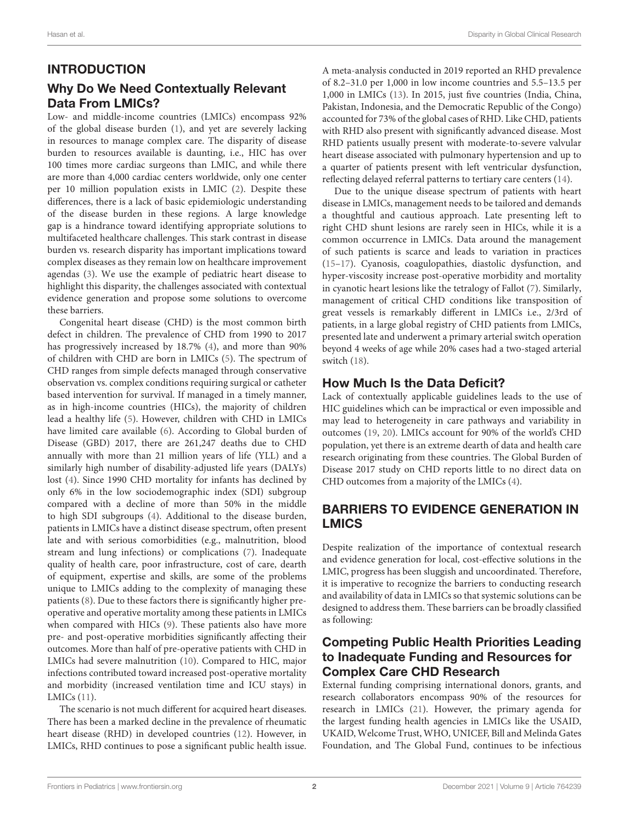## INTRODUCTION

## Why Do We Need Contextually Relevant Data From LMICs?

Low- and middle-income countries (LMICs) encompass 92% of the global disease burden [\(1\)](#page-11-0), and yet are severely lacking in resources to manage complex care. The disparity of disease burden to resources available is daunting, i.e., HIC has over 100 times more cardiac surgeons than LMIC, and while there are more than 4,000 cardiac centers worldwide, only one center per 10 million population exists in LMIC [\(2\)](#page-11-1). Despite these differences, there is a lack of basic epidemiologic understanding of the disease burden in these regions. A large knowledge gap is a hindrance toward identifying appropriate solutions to multifaceted healthcare challenges. This stark contrast in disease burden vs. research disparity has important implications toward complex diseases as they remain low on healthcare improvement agendas [\(3\)](#page-11-2). We use the example of pediatric heart disease to highlight this disparity, the challenges associated with contextual evidence generation and propose some solutions to overcome these barriers.

Congenital heart disease (CHD) is the most common birth defect in children. The prevalence of CHD from 1990 to 2017 has progressively increased by 18.7% [\(4\)](#page-11-3), and more than 90% of children with CHD are born in LMICs [\(5\)](#page-11-4). The spectrum of CHD ranges from simple defects managed through conservative observation vs. complex conditions requiring surgical or catheter based intervention for survival. If managed in a timely manner, as in high-income countries (HICs), the majority of children lead a healthy life [\(5\)](#page-11-4). However, children with CHD in LMICs have limited care available [\(6\)](#page-11-5). According to Global burden of Disease (GBD) 2017, there are 261,247 deaths due to CHD annually with more than 21 million years of life (YLL) and a similarly high number of disability-adjusted life years (DALYs) lost [\(4\)](#page-11-3). Since 1990 CHD mortality for infants has declined by only 6% in the low sociodemographic index (SDI) subgroup compared with a decline of more than 50% in the middle to high SDI subgroups [\(4\)](#page-11-3). Additional to the disease burden, patients in LMICs have a distinct disease spectrum, often present late and with serious comorbidities (e.g., malnutrition, blood stream and lung infections) or complications [\(7\)](#page-11-6). Inadequate quality of health care, poor infrastructure, cost of care, dearth of equipment, expertise and skills, are some of the problems unique to LMICs adding to the complexity of managing these patients [\(8\)](#page-11-7). Due to these factors there is significantly higher preoperative and operative mortality among these patients in LMICs when compared with HICs [\(9\)](#page-11-8). These patients also have more pre- and post-operative morbidities significantly affecting their outcomes. More than half of pre-operative patients with CHD in LMICs had severe malnutrition [\(10\)](#page-11-9). Compared to HIC, major infections contributed toward increased post-operative mortality and morbidity (increased ventilation time and ICU stays) in LMICs [\(11\)](#page-11-10).

The scenario is not much different for acquired heart diseases. There has been a marked decline in the prevalence of rheumatic heart disease (RHD) in developed countries [\(12\)](#page-11-11). However, in LMICs, RHD continues to pose a significant public health issue.

A meta-analysis conducted in 2019 reported an RHD prevalence of 8.2–31.0 per 1,000 in low income countries and 5.5–13.5 per 1,000 in LMICs [\(13\)](#page-11-12). In 2015, just five countries (India, China, Pakistan, Indonesia, and the Democratic Republic of the Congo) accounted for 73% of the global cases of RHD. Like CHD, patients with RHD also present with significantly advanced disease. Most RHD patients usually present with moderate-to-severe valvular heart disease associated with pulmonary hypertension and up to a quarter of patients present with left ventricular dysfunction, reflecting delayed referral patterns to tertiary care centers [\(14\)](#page-11-13).

Due to the unique disease spectrum of patients with heart disease in LMICs, management needs to be tailored and demands a thoughtful and cautious approach. Late presenting left to right CHD shunt lesions are rarely seen in HICs, while it is a common occurrence in LMICs. Data around the management of such patients is scarce and leads to variation in practices [\(15](#page-11-14)[–17\)](#page-11-15). Cyanosis, coagulopathies, diastolic dysfunction, and hyper-viscosity increase post-operative morbidity and mortality in cyanotic heart lesions like the tetralogy of Fallot [\(7\)](#page-11-6). Similarly, management of critical CHD conditions like transposition of great vessels is remarkably different in LMICs i.e., 2/3rd of patients, in a large global registry of CHD patients from LMICs, presented late and underwent a primary arterial switch operation beyond 4 weeks of age while 20% cases had a two-staged arterial switch [\(18\)](#page-11-16).

## How Much Is the Data Deficit?

Lack of contextually applicable guidelines leads to the use of HIC guidelines which can be impractical or even impossible and may lead to heterogeneity in care pathways and variability in outcomes [\(19,](#page-11-17) [20\)](#page-11-18). LMICs account for 90% of the world's CHD population, yet there is an extreme dearth of data and health care research originating from these countries. The Global Burden of Disease 2017 study on CHD reports little to no direct data on CHD outcomes from a majority of the LMICs [\(4\)](#page-11-3).

## BARRIERS TO EVIDENCE GENERATION IN LMICS

Despite realization of the importance of contextual research and evidence generation for local, cost-effective solutions in the LMIC, progress has been sluggish and uncoordinated. Therefore, it is imperative to recognize the barriers to conducting research and availability of data in LMICs so that systemic solutions can be designed to address them. These barriers can be broadly classified as following:

## Competing Public Health Priorities Leading to Inadequate Funding and Resources for Complex Care CHD Research

External funding comprising international donors, grants, and research collaborators encompass 90% of the resources for research in LMICs [\(21\)](#page-11-19). However, the primary agenda for the largest funding health agencies in LMICs like the USAID, UKAID, Welcome Trust, WHO, UNICEF, Bill and Melinda Gates Foundation, and The Global Fund, continues to be infectious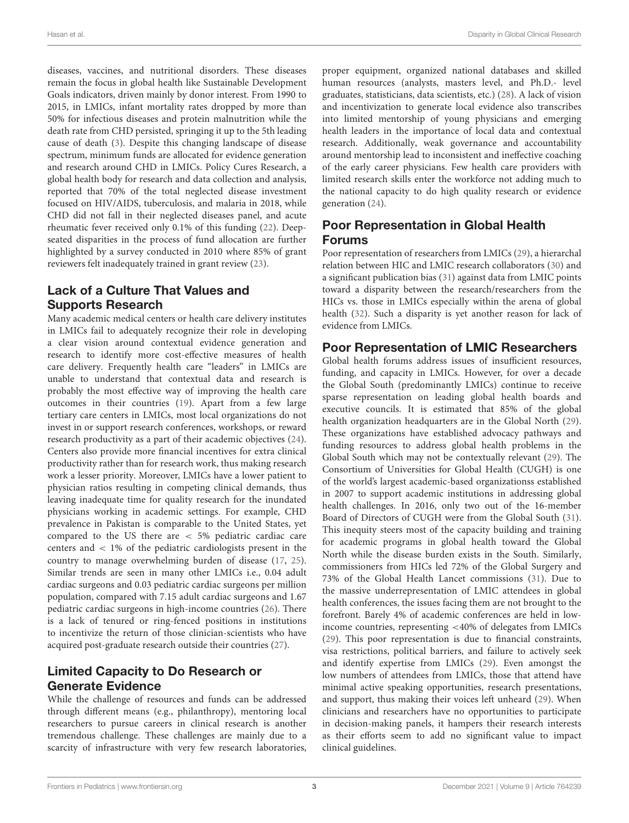diseases, vaccines, and nutritional disorders. These diseases remain the focus in global health like Sustainable Development Goals indicators, driven mainly by donor interest. From 1990 to 2015, in LMICs, infant mortality rates dropped by more than 50% for infectious diseases and protein malnutrition while the death rate from CHD persisted, springing it up to the 5th leading cause of death [\(3\)](#page-11-2). Despite this changing landscape of disease spectrum, minimum funds are allocated for evidence generation and research around CHD in LMICs. Policy Cures Research, a global health body for research and data collection and analysis, reported that 70% of the total neglected disease investment focused on HIV/AIDS, tuberculosis, and malaria in 2018, while CHD did not fall in their neglected diseases panel, and acute rheumatic fever received only 0.1% of this funding [\(22\)](#page-12-0). Deepseated disparities in the process of fund allocation are further highlighted by a survey conducted in 2010 where 85% of grant reviewers felt inadequately trained in grant review [\(23\)](#page-12-1).

## Lack of a Culture That Values and Supports Research

Many academic medical centers or health care delivery institutes in LMICs fail to adequately recognize their role in developing a clear vision around contextual evidence generation and research to identify more cost-effective measures of health care delivery. Frequently health care "leaders" in LMICs are unable to understand that contextual data and research is probably the most effective way of improving the health care outcomes in their countries [\(19\)](#page-11-17). Apart from a few large tertiary care centers in LMICs, most local organizations do not invest in or support research conferences, workshops, or reward research productivity as a part of their academic objectives [\(24\)](#page-12-2). Centers also provide more financial incentives for extra clinical productivity rather than for research work, thus making research work a lesser priority. Moreover, LMICs have a lower patient to physician ratios resulting in competing clinical demands, thus leaving inadequate time for quality research for the inundated physicians working in academic settings. For example, CHD prevalence in Pakistan is comparable to the United States, yet compared to the US there are < 5% pediatric cardiac care centers and < 1% of the pediatric cardiologists present in the country to manage overwhelming burden of disease [\(17,](#page-11-15) [25\)](#page-12-3). Similar trends are seen in many other LMICs i.e., 0.04 adult cardiac surgeons and 0.03 pediatric cardiac surgeons per million population, compared with 7.15 adult cardiac surgeons and 1.67 pediatric cardiac surgeons in high-income countries [\(26\)](#page-12-4). There is a lack of tenured or ring-fenced positions in institutions to incentivize the return of those clinician-scientists who have acquired post-graduate research outside their countries [\(27\)](#page-12-5).

## Limited Capacity to Do Research or Generate Evidence

While the challenge of resources and funds can be addressed through different means (e.g., philanthropy), mentoring local researchers to pursue careers in clinical research is another tremendous challenge. These challenges are mainly due to a scarcity of infrastructure with very few research laboratories, proper equipment, organized national databases and skilled human resources (analysts, masters level, and Ph.D.- level graduates, statisticians, data scientists, etc.) [\(28\)](#page-12-6). A lack of vision and incentivization to generate local evidence also transcribes into limited mentorship of young physicians and emerging health leaders in the importance of local data and contextual research. Additionally, weak governance and accountability around mentorship lead to inconsistent and ineffective coaching of the early career physicians. Few health care providers with limited research skills enter the workforce not adding much to the national capacity to do high quality research or evidence generation [\(24\)](#page-12-2).

## Poor Representation in Global Health Forums

Poor representation of researchers from LMICs [\(29\)](#page-12-7), a hierarchal relation between HIC and LMIC research collaborators [\(30\)](#page-12-8) and a significant publication bias [\(31\)](#page-12-9) against data from LMIC points toward a disparity between the research/researchers from the HICs vs. those in LMICs especially within the arena of global health [\(32\)](#page-12-10). Such a disparity is yet another reason for lack of evidence from LMICs.

## Poor Representation of LMIC Researchers

Global health forums address issues of insufficient resources, funding, and capacity in LMICs. However, for over a decade the Global South (predominantly LMICs) continue to receive sparse representation on leading global health boards and executive councils. It is estimated that 85% of the global health organization headquarters are in the Global North [\(29\)](#page-12-7). These organizations have established advocacy pathways and funding resources to address global health problems in the Global South which may not be contextually relevant [\(29\)](#page-12-7). The Consortium of Universities for Global Health (CUGH) is one of the world's largest academic-based organizationss established in 2007 to support academic institutions in addressing global health challenges. In 2016, only two out of the 16-member Board of Directors of CUGH were from the Global South [\(31\)](#page-12-9). This inequity steers most of the capacity building and training for academic programs in global health toward the Global North while the disease burden exists in the South. Similarly, commissioners from HICs led 72% of the Global Surgery and 73% of the Global Health Lancet commissions [\(31\)](#page-12-9). Due to the massive underrepresentation of LMIC attendees in global health conferences, the issues facing them are not brought to the forefront. Barely 4% of academic conferences are held in lowincome countries, representing <40% of delegates from LMICs [\(29\)](#page-12-7). This poor representation is due to financial constraints, visa restrictions, political barriers, and failure to actively seek and identify expertise from LMICs [\(29\)](#page-12-7). Even amongst the low numbers of attendees from LMICs, those that attend have minimal active speaking opportunities, research presentations, and support, thus making their voices left unheard [\(29\)](#page-12-7). When clinicians and researchers have no opportunities to participate in decision-making panels, it hampers their research interests as their efforts seem to add no significant value to impact clinical guidelines.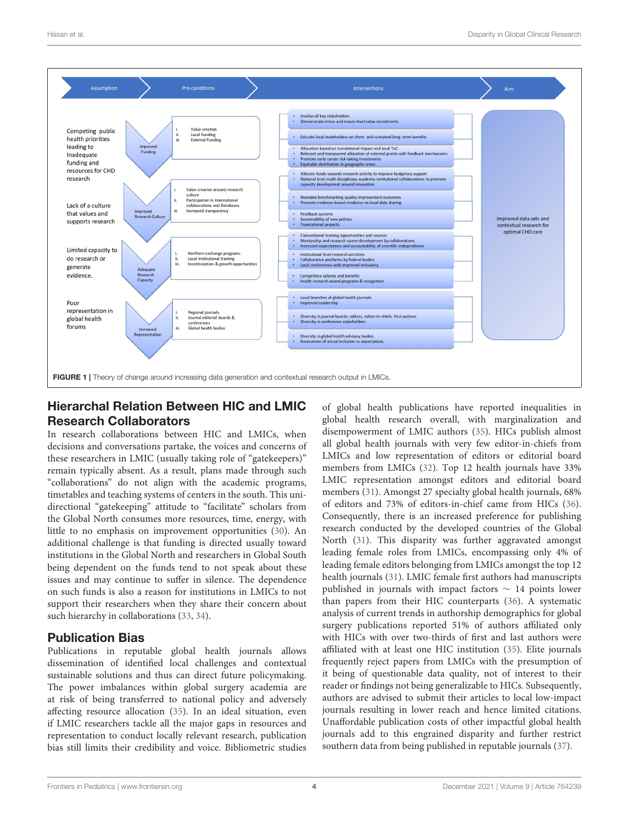

## <span id="page-4-0"></span>Hierarchal Relation Between HIC and LMIC Research Collaborators

In research collaborations between HIC and LMICs, when decisions and conversations partake, the voices and concerns of these researchers in LMIC (usually taking role of "gatekeepers)" remain typically absent. As a result, plans made through such "collaborations" do not align with the academic programs, timetables and teaching systems of centers in the south. This unidirectional "gatekeeping" attitude to "facilitate" scholars from the Global North consumes more resources, time, energy, with little to no emphasis on improvement opportunities [\(30\)](#page-12-8). An additional challenge is that funding is directed usually toward institutions in the Global North and researchers in Global South being dependent on the funds tend to not speak about these issues and may continue to suffer in silence. The dependence on such funds is also a reason for institutions in LMICs to not support their researchers when they share their concern about such hierarchy in collaborations [\(33,](#page-12-11) [34\)](#page-12-12).

## Publication Bias

Publications in reputable global health journals allows dissemination of identified local challenges and contextual sustainable solutions and thus can direct future policymaking. The power imbalances within global surgery academia are at risk of being transferred to national policy and adversely affecting resource allocation [\(35\)](#page-12-13). In an ideal situation, even if LMIC researchers tackle all the major gaps in resources and representation to conduct locally relevant research, publication bias still limits their credibility and voice. Bibliometric studies of global health publications have reported inequalities in global health research overall, with marginalization and disempowerment of LMIC authors [\(35\)](#page-12-13). HICs publish almost all global health journals with very few editor-in-chiefs from LMICs and low representation of editors or editorial board members from LMICs [\(32\)](#page-12-10). Top 12 health journals have 33% LMIC representation amongst editors and editorial board members [\(31\)](#page-12-9). Amongst 27 specialty global health journals, 68% of editors and 73% of editors-in-chief came from HICs [\(36\)](#page-12-14). Consequently, there is an increased preference for publishing research conducted by the developed countries of the Global North [\(31\)](#page-12-9). This disparity was further aggravated amongst leading female roles from LMICs, encompassing only 4% of leading female editors belonging from LMICs amongst the top 12 health journals [\(31\)](#page-12-9). LMIC female first authors had manuscripts published in journals with impact factors ∼ 14 points lower than papers from their HIC counterparts [\(36\)](#page-12-14). A systematic analysis of current trends in authorship demographics for global surgery publications reported 51% of authors affiliated only with HICs with over two-thirds of first and last authors were affiliated with at least one HIC institution [\(35\)](#page-12-13). Elite journals frequently reject papers from LMICs with the presumption of it being of questionable data quality, not of interest to their reader or findings not being generalizable to HICs. Subsequently, authors are advised to submit their articles to local low-impact journals resulting in lower reach and hence limited citations. Unaffordable publication costs of other impactful global health journals add to this engrained disparity and further restrict southern data from being published in reputable journals [\(37\)](#page-12-15).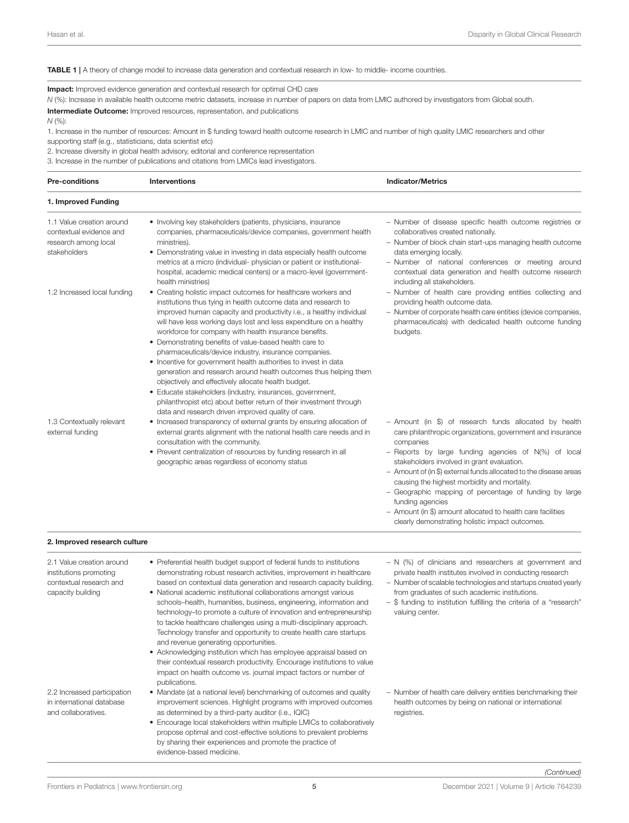#### <span id="page-5-0"></span>TABLE 1 | A theory of change model to increase data generation and contextual research in low- to middle- income countries.

Impact: Improved evidence generation and contextual research for optimal CHD care

*N* (%): Increase in available health outcome metric datasets, increase in number of papers on data from LMIC authored by investigators from Global south.

Intermediate Outcome: Improved resources, representation, and publications

*N* (%):

1. Increase in the number of resources: Amount in \$ funding toward health outcome research in LMIC and number of high quality LMIC researchers and other supporting staff (e.g., statisticians, data scientist etc)

2. Increase diversity in global health advisory, editorial and conference representation

3. Increase in the number of publications and citations from LMICs lead investigators.

| <b>Pre-conditions</b>                                                                               | <b>Interventions</b>                                                                                                                                                                                                                                                                                                                                                                                                                                                                                                                                                                                                                                                                                                                                                                                                                                            | <b>Indicator/Metrics</b>                                                                                                                                                                                                                                                                                                                                                                                                                                                                                                                                     |
|-----------------------------------------------------------------------------------------------------|-----------------------------------------------------------------------------------------------------------------------------------------------------------------------------------------------------------------------------------------------------------------------------------------------------------------------------------------------------------------------------------------------------------------------------------------------------------------------------------------------------------------------------------------------------------------------------------------------------------------------------------------------------------------------------------------------------------------------------------------------------------------------------------------------------------------------------------------------------------------|--------------------------------------------------------------------------------------------------------------------------------------------------------------------------------------------------------------------------------------------------------------------------------------------------------------------------------------------------------------------------------------------------------------------------------------------------------------------------------------------------------------------------------------------------------------|
| 1. Improved Funding                                                                                 |                                                                                                                                                                                                                                                                                                                                                                                                                                                                                                                                                                                                                                                                                                                                                                                                                                                                 |                                                                                                                                                                                                                                                                                                                                                                                                                                                                                                                                                              |
| 1.1 Value creation around<br>contextual evidence and<br>research among local<br>stakeholders        | • Involving key stakeholders (patients, physicians, insurance<br>companies, pharmaceuticals/device companies, government health<br>ministries).<br>• Demonstrating value in investing in data especially health outcome<br>metrics at a micro (individual- physician or patient or institutional-<br>hospital, academic medical centers) or a macro-level (government-<br>health ministries)                                                                                                                                                                                                                                                                                                                                                                                                                                                                    | - Number of disease specific health outcome registries or<br>collaboratives created nationally.<br>- Number of block chain start-ups managing health outcome<br>data emerging locally.<br>- Number of national conferences or meeting around<br>contextual data generation and health outcome research<br>including all stakeholders.                                                                                                                                                                                                                        |
| 1.2 Increased local funding                                                                         | • Creating holistic impact outcomes for healthcare workers and<br>institutions thus tying in health outcome data and research to<br>improved human capacity and productivity i.e., a healthy individual<br>will have less working days lost and less expenditure on a healthy<br>workforce for company with health insurance benefits.<br>• Demonstrating benefits of value-based health care to<br>pharmaceuticals/device industry, insurance companies.<br>• Incentive for government health authorities to invest in data<br>generation and research around health outcomes thus helping them<br>objectively and effectively allocate health budget.<br>• Educate stakeholders (industry, insurances, government,<br>philanthropist etc) about better return of their investment through<br>data and research driven improved quality of care.               | - Number of health care providing entities collecting and<br>providing health outcome data.<br>- Number of corporate health care entities (device companies,<br>pharmaceuticals) with dedicated health outcome funding<br>budgets.                                                                                                                                                                                                                                                                                                                           |
| 1.3 Contextually relevant<br>external funding                                                       | • Increased transparency of external grants by ensuring allocation of<br>external grants alignment with the national health care needs and in<br>consultation with the community.<br>• Prevent centralization of resources by funding research in all<br>geographic areas regardless of economy status                                                                                                                                                                                                                                                                                                                                                                                                                                                                                                                                                          | - Amount (in \$) of research funds allocated by health<br>care philanthropic organizations, government and insurance<br>companies<br>- Reports by large funding agencies of N(%) of local<br>stakeholders involved in grant evaluation.<br>- Amount of (in \$) external funds allocated to the disease areas<br>causing the highest morbidity and mortality.<br>- Geographic mapping of percentage of funding by large<br>funding agencies<br>- Amount (in \$) amount allocated to health care facilities<br>clearly demonstrating holistic impact outcomes. |
| 2. Improved research culture                                                                        |                                                                                                                                                                                                                                                                                                                                                                                                                                                                                                                                                                                                                                                                                                                                                                                                                                                                 |                                                                                                                                                                                                                                                                                                                                                                                                                                                                                                                                                              |
| 2.1 Value creation around<br>institutions promoting<br>contextual research and<br>capacity building | • Preferential health budget support of federal funds to institutions<br>demonstrating robust research activities, improvement in healthcare<br>based on contextual data generation and research capacity building.<br>• National academic institutional collaborations amongst various<br>schools-health, humanities, business, engineering, information and<br>technology-to promote a culture of innovation and entrepreneurship<br>to tackle healthcare challenges using a multi-disciplinary approach.<br>Technology transfer and opportunity to create health care startups<br>and revenue generating opportunities.<br>• Acknowledging institution which has employee appraisal based on<br>their contextual research productivity. Encourage institutions to value<br>impact on health outcome vs. journal impact factors or number of<br>publications. | $- N$ (%) of clinicians and researchers at government and<br>private health institutes involved in conducting research<br>- Number of scalable technologies and startups created yearly<br>from graduates of such academic institutions.<br>- \$ funding to institution fulfilling the criteria of a "research"<br>valuing center.                                                                                                                                                                                                                           |
| 2.2 Increased participation<br>in international database<br>and collaboratives.                     | • Mandate (at a national level) benchmarking of outcomes and quality<br>improvement sciences. Highlight programs with improved outcomes<br>as determined by a third-party auditor (i.e., IQIC)<br>• Encourage local stakeholders within multiple LMICs to collaboratively<br>propose optimal and cost-effective solutions to prevalent problems<br>by sharing their experiences and promote the practice of<br>evidence-based medicine.                                                                                                                                                                                                                                                                                                                                                                                                                         | - Number of health care delivery entities benchmarking their<br>health outcomes by being on national or international<br>registries.                                                                                                                                                                                                                                                                                                                                                                                                                         |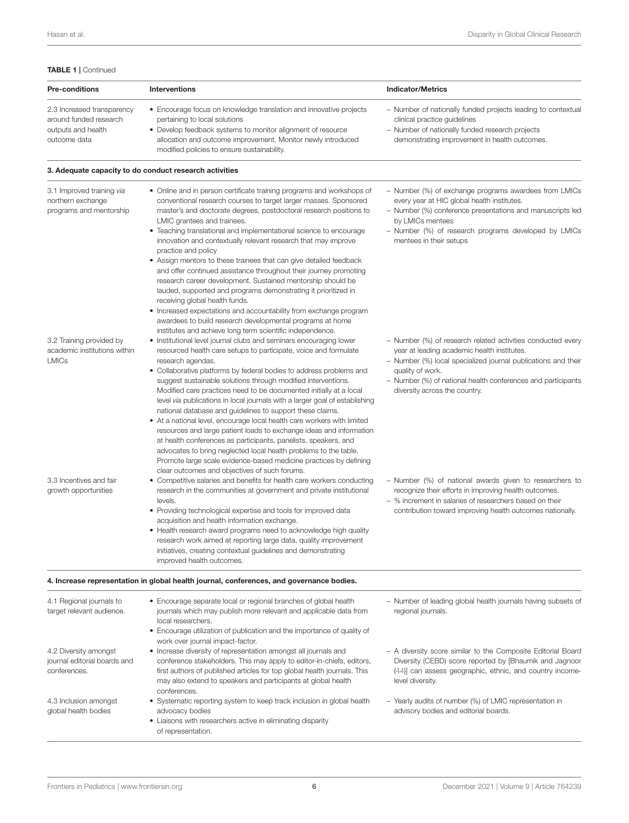#### TABLE 1 | Continued

| <b>Pre-conditions</b>                                                                      | <b>Interventions</b>                                                                                                                                                                                                                                                                                                                                                                                                                                                                                   | <b>Indicator/Metrics</b>                                                                                                                                                                                                                                                                         |
|--------------------------------------------------------------------------------------------|--------------------------------------------------------------------------------------------------------------------------------------------------------------------------------------------------------------------------------------------------------------------------------------------------------------------------------------------------------------------------------------------------------------------------------------------------------------------------------------------------------|--------------------------------------------------------------------------------------------------------------------------------------------------------------------------------------------------------------------------------------------------------------------------------------------------|
| 2.3 Increased transparency<br>around funded research<br>outputs and health<br>outcome data | • Encourage focus on knowledge translation and innovative projects<br>pertaining to local solutions<br>• Develop feedback systems to monitor alignment of resource<br>allocation and outcome improvement. Monitor newly introduced<br>modified policies to ensure sustainability.                                                                                                                                                                                                                      | - Number of nationally funded projects leading to contextual<br>clinical practice guidelines<br>- Number of nationally funded research projects<br>demonstrating improvement in health outcomes.                                                                                                 |
|                                                                                            | 3. Adequate capacity to do conduct research activities                                                                                                                                                                                                                                                                                                                                                                                                                                                 |                                                                                                                                                                                                                                                                                                  |
| 3.1 Improved training via<br>northern exchange<br>programs and mentorship                  | • Online and in person certificate training programs and workshops of<br>conventional research courses to target larger masses. Sponsored<br>master's and doctorate degrees, postdoctoral research positions to<br>LMIC grantees and trainees.<br>• Teaching translational and implementational science to encourage<br>innovation and contextually relevant research that may improve<br>practice and policy<br>• Assign mentors to these trainees that can give detailed feedback                    | - Number (%) of exchange programs awardees from LMICs<br>every year at HIC global health institutes.<br>- Number (%) conference presentations and manuscripts led<br>by LMICs mentees<br>- Number (%) of research programs developed by LMICs<br>mentees in their setups                         |
|                                                                                            | and offer continued assistance throughout their journey promoting<br>research career development. Sustained mentorship should be<br>lauded, supported and programs demonstrating it prioritized in<br>receiving global health funds.<br>• Increased expectations and accountability from exchange program                                                                                                                                                                                              |                                                                                                                                                                                                                                                                                                  |
| 3.2 Training provided by<br>academic institutions within<br><b>LMICs</b>                   | awardees to build research developmental programs at home<br>institutes and achieve long term scientific independence.<br>• Institutional level journal clubs and seminars encouraging lower<br>resourced health care setups to participate, voice and formulate<br>research agendas.<br>• Collaborative platforms by federal bodies to address problems and<br>suggest sustainable solutions through modified interventions.<br>Modified care practices need to be documented initially at a local    | - Number (%) of research related activities conducted every<br>year at leading academic health institutes.<br>- Number (%) local specialized journal publications and their<br>quality of work.<br>- Number (%) of national health conferences and participants<br>diversity across the country. |
|                                                                                            | level via publications in local journals with a larger goal of establishing<br>national database and guidelines to support these claims.<br>• At a national level, encourage local health care workers with limited<br>resources and large patient loads to exchange ideas and information<br>at health conferences as participants, panelists, speakers, and<br>advocates to bring neglected local health problems to the table.<br>Promote large scale evidence-based medicine practices by defining |                                                                                                                                                                                                                                                                                                  |
| 3.3 Incentives and fair<br>growth opportunities                                            | clear outcomes and objectives of such forums.<br>• Competitive salaries and benefits for health care workers conducting<br>research in the communities at government and private institutional<br>levels.<br>• Providing technological expertise and tools for improved data                                                                                                                                                                                                                           | - Number (%) of national awards given to researchers to<br>recognize their efforts in improving health outcomes.<br>- % increment in salaries of researchers based on their<br>contribution toward improving health outcomes nationally.                                                         |
|                                                                                            | acquisition and health information exchange.<br>• Health research award programs need to acknowledge high quality<br>research work aimed at reporting large data, quality improvement<br>initiatives, creating contextual guidelines and demonstrating<br>improved health outcomes.                                                                                                                                                                                                                    |                                                                                                                                                                                                                                                                                                  |
|                                                                                            | 4. Increase representation in global health journal, conferences, and governance bodies.                                                                                                                                                                                                                                                                                                                                                                                                               |                                                                                                                                                                                                                                                                                                  |
| 4.1 Regional journals to<br>target relevant audience.                                      | • Encourage separate local or regional branches of global health<br>journals which may publish more relevant and applicable data from<br>local researchers.<br>• Encourage utilization of publication and the importance of quality of                                                                                                                                                                                                                                                                 | - Number of leading global health journals having subsets of<br>regional journals.                                                                                                                                                                                                               |
| 4.2 Diversity amongst<br>journal editorial boards and<br>conferences.                      | work over journal impact-factor.<br>• Increase diversity of representation amongst all journals and<br>conference stakeholders. This may apply to editor-in-chiefs, editors,<br>first authors of published articles for top global health journals. This<br>may also extend to speakers and participants at global health                                                                                                                                                                              | - A diversity score similar to the Composite Editorial Board<br>Diversity (CEBD) score reported by [Bhaumik and Jagnoor<br>(44)] can assess geographic, ethnic, and country income-<br>level diversity.                                                                                          |
| 4.3 Inclusion amongst<br>global health bodies                                              | conferences.<br>• Systematic reporting system to keep track inclusion in global health<br>advocacy bodies                                                                                                                                                                                                                                                                                                                                                                                              | - Yearly audits of number (%) of LMIC representation in<br>advisory bodies and editorial boards.                                                                                                                                                                                                 |

• Liaisons with researchers active in eliminating disparity

of representation.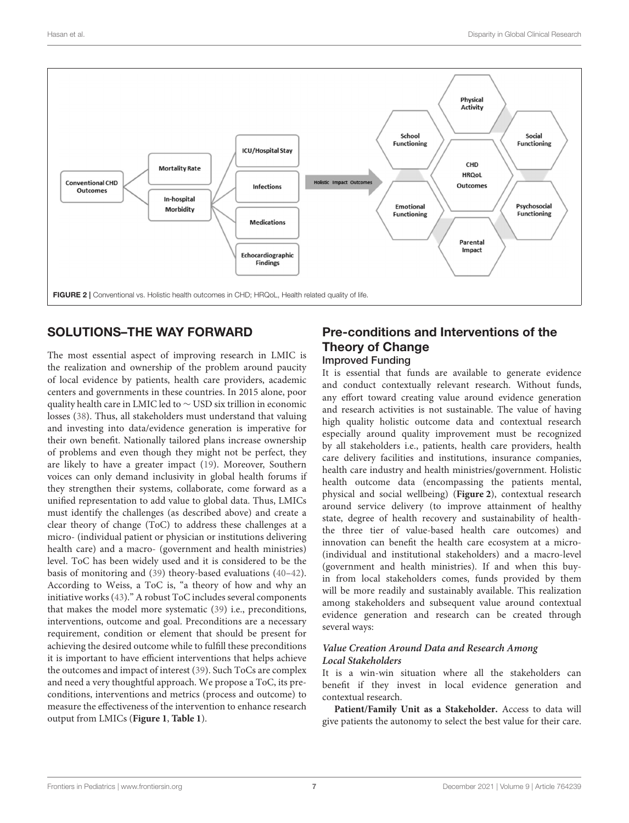

## <span id="page-7-0"></span>SOLUTIONS–THE WAY FORWARD

The most essential aspect of improving research in LMIC is the realization and ownership of the problem around paucity of local evidence by patients, health care providers, academic centers and governments in these countries. In 2015 alone, poor quality health care in LMIC led to ∼ USD six trillion in economic losses [\(38\)](#page-12-17). Thus, all stakeholders must understand that valuing and investing into data/evidence generation is imperative for their own benefit. Nationally tailored plans increase ownership of problems and even though they might not be perfect, they are likely to have a greater impact [\(19\)](#page-11-17). Moreover, Southern voices can only demand inclusivity in global health forums if they strengthen their systems, collaborate, come forward as a unified representation to add value to global data. Thus, LMICs must identify the challenges (as described above) and create a clear theory of change (ToC) to address these challenges at a micro- (individual patient or physician or institutions delivering health care) and a macro- (government and health ministries) level. ToC has been widely used and it is considered to be the basis of monitoring and [\(39\)](#page-12-18) theory-based evaluations [\(40–](#page-12-19)[42\)](#page-12-20). According to Weiss, a ToC is, "a theory of how and why an initiative works [\(43\)](#page-12-21)." A robust ToC includes several components that makes the model more systematic [\(39\)](#page-12-18) i.e., preconditions, interventions, outcome and goal. Preconditions are a necessary requirement, condition or element that should be present for achieving the desired outcome while to fulfill these preconditions it is important to have efficient interventions that helps achieve the outcomes and impact of interest [\(39\)](#page-12-18). Such ToCs are complex and need a very thoughtful approach. We propose a ToC, its preconditions, interventions and metrics (process and outcome) to measure the effectiveness of the intervention to enhance research output from LMICs (**[Figure 1](#page-4-0)**, **[Table 1](#page-5-0)**).

## Pre-conditions and Interventions of the Theory of Change Improved Funding

It is essential that funds are available to generate evidence and conduct contextually relevant research. Without funds, any effort toward creating value around evidence generation and research activities is not sustainable. The value of having high quality holistic outcome data and contextual research especially around quality improvement must be recognized by all stakeholders i.e., patients, health care providers, health care delivery facilities and institutions, insurance companies, health care industry and health ministries/government. Holistic health outcome data (encompassing the patients mental, physical and social wellbeing) (**[Figure 2](#page-7-0)**), contextual research around service delivery (to improve attainment of healthy state, degree of health recovery and sustainability of healththe three tier of value-based health care outcomes) and innovation can benefit the health care ecosystem at a micro- (individual and institutional stakeholders) and a macro-level (government and health ministries). If and when this buyin from local stakeholders comes, funds provided by them will be more readily and sustainably available. This realization among stakeholders and subsequent value around contextual evidence generation and research can be created through several ways:

#### **Value Creation Around Data and Research Among Local Stakeholders**

It is a win-win situation where all the stakeholders can benefit if they invest in local evidence generation and contextual research.

**Patient/Family Unit as a Stakeholder.** Access to data will give patients the autonomy to select the best value for their care.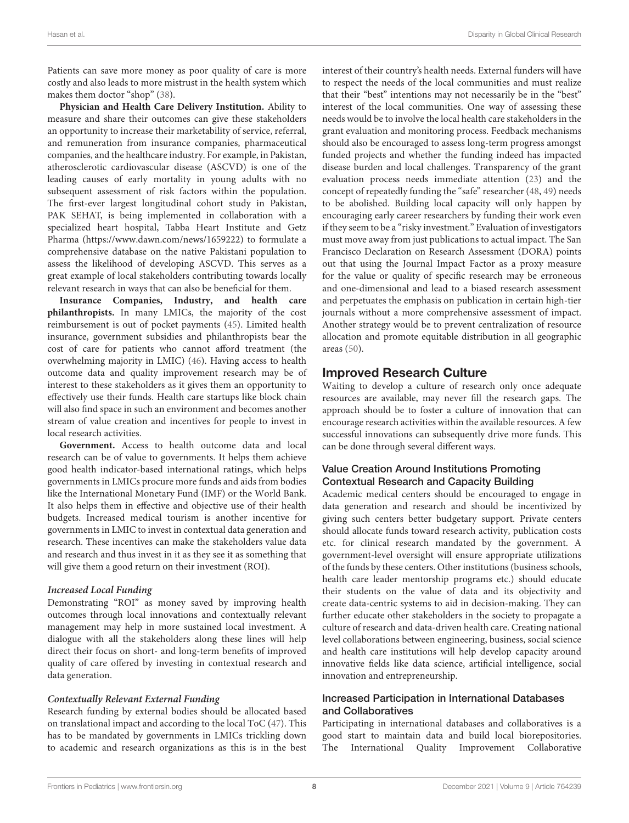Patients can save more money as poor quality of care is more costly and also leads to more mistrust in the health system which makes them doctor "shop" [\(38\)](#page-12-17).

**Physician and Health Care Delivery Institution.** Ability to measure and share their outcomes can give these stakeholders an opportunity to increase their marketability of service, referral, and remuneration from insurance companies, pharmaceutical companies, and the healthcare industry. For example, in Pakistan, atherosclerotic cardiovascular disease (ASCVD) is one of the leading causes of early mortality in young adults with no subsequent assessment of risk factors within the population. The first-ever largest longitudinal cohort study in Pakistan, PAK SEHAT, is being implemented in collaboration with a specialized heart hospital, Tabba Heart Institute and Getz Pharma [\(https://www.dawn.com/news/1659222\)](https://www.dawn.com/news/1659222) to formulate a comprehensive database on the native Pakistani population to assess the likelihood of developing ASCVD. This serves as a great example of local stakeholders contributing towards locally relevant research in ways that can also be beneficial for them.

**Insurance Companies, Industry, and health care philanthropists.** In many LMICs, the majority of the cost reimbursement is out of pocket payments [\(45\)](#page-12-22). Limited health insurance, government subsidies and philanthropists bear the cost of care for patients who cannot afford treatment (the overwhelming majority in LMIC) [\(46\)](#page-12-23). Having access to health outcome data and quality improvement research may be of interest to these stakeholders as it gives them an opportunity to effectively use their funds. Health care startups like block chain will also find space in such an environment and becomes another stream of value creation and incentives for people to invest in local research activities.

**Government.** Access to health outcome data and local research can be of value to governments. It helps them achieve good health indicator-based international ratings, which helps governments in LMICs procure more funds and aids from bodies like the International Monetary Fund (IMF) or the World Bank. It also helps them in effective and objective use of their health budgets. Increased medical tourism is another incentive for governments in LMIC to invest in contextual data generation and research. These incentives can make the stakeholders value data and research and thus invest in it as they see it as something that will give them a good return on their investment (ROI).

#### **Increased Local Funding**

Demonstrating "ROI" as money saved by improving health outcomes through local innovations and contextually relevant management may help in more sustained local investment. A dialogue with all the stakeholders along these lines will help direct their focus on short- and long-term benefits of improved quality of care offered by investing in contextual research and data generation.

#### **Contextually Relevant External Funding**

Research funding by external bodies should be allocated based on translational impact and according to the local ToC [\(47\)](#page-12-24). This has to be mandated by governments in LMICs trickling down to academic and research organizations as this is in the best interest of their country's health needs. External funders will have to respect the needs of the local communities and must realize that their "best" intentions may not necessarily be in the "best" interest of the local communities. One way of assessing these needs would be to involve the local health care stakeholders in the grant evaluation and monitoring process. Feedback mechanisms should also be encouraged to assess long-term progress amongst funded projects and whether the funding indeed has impacted disease burden and local challenges. Transparency of the grant evaluation process needs immediate attention [\(23\)](#page-12-1) and the concept of repeatedly funding the "safe" researcher [\(48,](#page-12-25) [49\)](#page-12-26) needs to be abolished. Building local capacity will only happen by encouraging early career researchers by funding their work even if they seem to be a "risky investment." Evaluation of investigators must move away from just publications to actual impact. The San Francisco Declaration on Research Assessment (DORA) points out that using the Journal Impact Factor as a proxy measure for the value or quality of specific research may be erroneous and one-dimensional and lead to a biased research assessment and perpetuates the emphasis on publication in certain high-tier journals without a more comprehensive assessment of impact. Another strategy would be to prevent centralization of resource allocation and promote equitable distribution in all geographic areas [\(50\)](#page-12-27).

### Improved Research Culture

Waiting to develop a culture of research only once adequate resources are available, may never fill the research gaps. The approach should be to foster a culture of innovation that can encourage research activities within the available resources. A few successful innovations can subsequently drive more funds. This can be done through several different ways.

#### Value Creation Around Institutions Promoting Contextual Research and Capacity Building

Academic medical centers should be encouraged to engage in data generation and research and should be incentivized by giving such centers better budgetary support. Private centers should allocate funds toward research activity, publication costs etc. for clinical research mandated by the government. A government-level oversight will ensure appropriate utilizations of the funds by these centers. Other institutions (business schools, health care leader mentorship programs etc.) should educate their students on the value of data and its objectivity and create data-centric systems to aid in decision-making. They can further educate other stakeholders in the society to propagate a culture of research and data-driven health care. Creating national level collaborations between engineering, business, social science and health care institutions will help develop capacity around innovative fields like data science, artificial intelligence, social innovation and entrepreneurship.

#### Increased Participation in International Databases and Collaboratives

Participating in international databases and collaboratives is a good start to maintain data and build local biorepositories. The International Quality Improvement Collaborative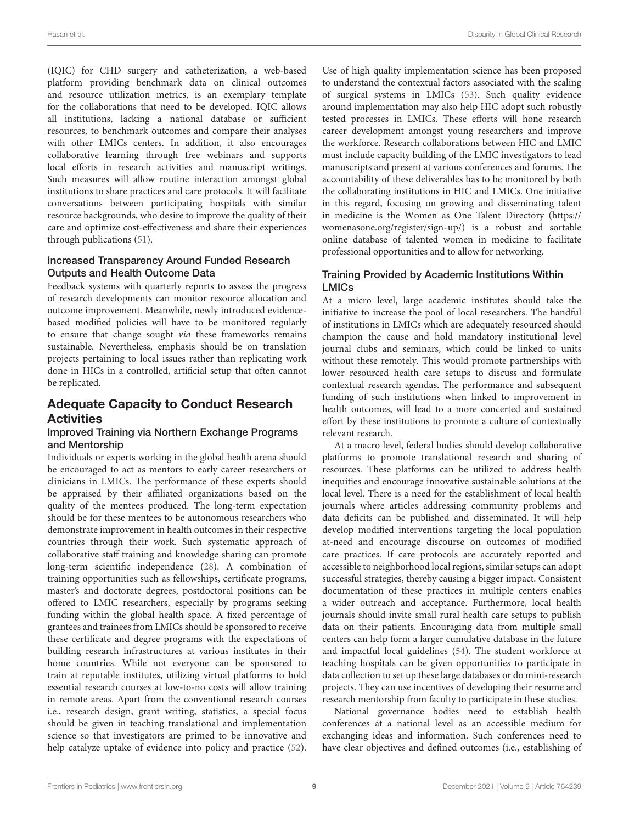(IQIC) for CHD surgery and catheterization, a web-based platform providing benchmark data on clinical outcomes and resource utilization metrics, is an exemplary template for the collaborations that need to be developed. IQIC allows all institutions, lacking a national database or sufficient resources, to benchmark outcomes and compare their analyses with other LMICs centers. In addition, it also encourages collaborative learning through free webinars and supports local efforts in research activities and manuscript writings. Such measures will allow routine interaction amongst global institutions to share practices and care protocols. It will facilitate conversations between participating hospitals with similar resource backgrounds, who desire to improve the quality of their care and optimize cost-effectiveness and share their experiences through publications [\(51\)](#page-12-28).

#### Increased Transparency Around Funded Research Outputs and Health Outcome Data

Feedback systems with quarterly reports to assess the progress of research developments can monitor resource allocation and outcome improvement. Meanwhile, newly introduced evidencebased modified policies will have to be monitored regularly to ensure that change sought via these frameworks remains sustainable. Nevertheless, emphasis should be on translation projects pertaining to local issues rather than replicating work done in HICs in a controlled, artificial setup that often cannot be replicated.

## Adequate Capacity to Conduct Research Activities

#### Improved Training via Northern Exchange Programs and Mentorship

Individuals or experts working in the global health arena should be encouraged to act as mentors to early career researchers or clinicians in LMICs. The performance of these experts should be appraised by their affiliated organizations based on the quality of the mentees produced. The long-term expectation should be for these mentees to be autonomous researchers who demonstrate improvement in health outcomes in their respective countries through their work. Such systematic approach of collaborative staff training and knowledge sharing can promote long-term scientific independence [\(28\)](#page-12-6). A combination of training opportunities such as fellowships, certificate programs, master's and doctorate degrees, postdoctoral positions can be offered to LMIC researchers, especially by programs seeking funding within the global health space. A fixed percentage of grantees and trainees from LMICs should be sponsored to receive these certificate and degree programs with the expectations of building research infrastructures at various institutes in their home countries. While not everyone can be sponsored to train at reputable institutes, utilizing virtual platforms to hold essential research courses at low-to-no costs will allow training in remote areas. Apart from the conventional research courses i.e., research design, grant writing, statistics, a special focus should be given in teaching translational and implementation science so that investigators are primed to be innovative and help catalyze uptake of evidence into policy and practice [\(52\)](#page-12-29). Use of high quality implementation science has been proposed to understand the contextual factors associated with the scaling of surgical systems in LMICs [\(53\)](#page-12-30). Such quality evidence around implementation may also help HIC adopt such robustly tested processes in LMICs. These efforts will hone research career development amongst young researchers and improve the workforce. Research collaborations between HIC and LMIC must include capacity building of the LMIC investigators to lead manuscripts and present at various conferences and forums. The accountability of these deliverables has to be monitored by both the collaborating institutions in HIC and LMICs. One initiative in this regard, focusing on growing and disseminating talent in medicine is the Women as One Talent Directory [\(https://](https://womenasone.org/register/sign-up/) [womenasone.org/register/sign-up/\)](https://womenasone.org/register/sign-up/) is a robust and sortable online database of talented women in medicine to facilitate professional opportunities and to allow for networking.

#### Training Provided by Academic Institutions Within LMICs

At a micro level, large academic institutes should take the initiative to increase the pool of local researchers. The handful of institutions in LMICs which are adequately resourced should champion the cause and hold mandatory institutional level journal clubs and seminars, which could be linked to units without these remotely. This would promote partnerships with lower resourced health care setups to discuss and formulate contextual research agendas. The performance and subsequent funding of such institutions when linked to improvement in health outcomes, will lead to a more concerted and sustained effort by these institutions to promote a culture of contextually relevant research.

At a macro level, federal bodies should develop collaborative platforms to promote translational research and sharing of resources. These platforms can be utilized to address health inequities and encourage innovative sustainable solutions at the local level. There is a need for the establishment of local health journals where articles addressing community problems and data deficits can be published and disseminated. It will help develop modified interventions targeting the local population at-need and encourage discourse on outcomes of modified care practices. If care protocols are accurately reported and accessible to neighborhood local regions, similar setups can adopt successful strategies, thereby causing a bigger impact. Consistent documentation of these practices in multiple centers enables a wider outreach and acceptance. Furthermore, local health journals should invite small rural health care setups to publish data on their patients. Encouraging data from multiple small centers can help form a larger cumulative database in the future and impactful local guidelines [\(54\)](#page-12-31). The student workforce at teaching hospitals can be given opportunities to participate in data collection to set up these large databases or do mini-research projects. They can use incentives of developing their resume and research mentorship from faculty to participate in these studies.

National governance bodies need to establish health conferences at a national level as an accessible medium for exchanging ideas and information. Such conferences need to have clear objectives and defined outcomes (i.e., establishing of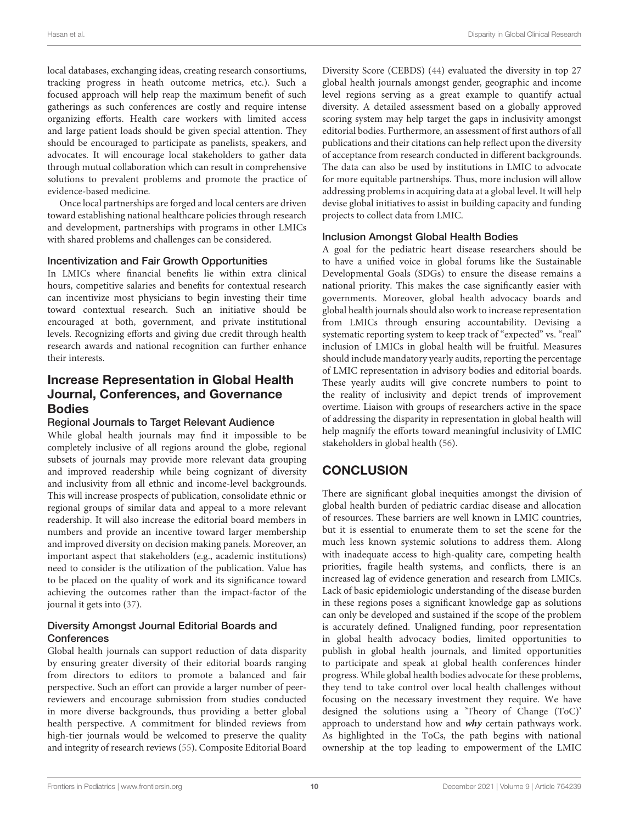local databases, exchanging ideas, creating research consortiums, tracking progress in heath outcome metrics, etc.). Such a focused approach will help reap the maximum benefit of such gatherings as such conferences are costly and require intense organizing efforts. Health care workers with limited access and large patient loads should be given special attention. They should be encouraged to participate as panelists, speakers, and advocates. It will encourage local stakeholders to gather data through mutual collaboration which can result in comprehensive solutions to prevalent problems and promote the practice of evidence-based medicine.

Once local partnerships are forged and local centers are driven toward establishing national healthcare policies through research and development, partnerships with programs in other LMICs with shared problems and challenges can be considered.

#### Incentivization and Fair Growth Opportunities

In LMICs where financial benefits lie within extra clinical hours, competitive salaries and benefits for contextual research can incentivize most physicians to begin investing their time toward contextual research. Such an initiative should be encouraged at both, government, and private institutional levels. Recognizing efforts and giving due credit through health research awards and national recognition can further enhance their interests.

## Increase Representation in Global Health Journal, Conferences, and Governance Bodies

#### Regional Journals to Target Relevant Audience

While global health journals may find it impossible to be completely inclusive of all regions around the globe, regional subsets of journals may provide more relevant data grouping and improved readership while being cognizant of diversity and inclusivity from all ethnic and income-level backgrounds. This will increase prospects of publication, consolidate ethnic or regional groups of similar data and appeal to a more relevant readership. It will also increase the editorial board members in numbers and provide an incentive toward larger membership and improved diversity on decision making panels. Moreover, an important aspect that stakeholders (e.g., academic institutions) need to consider is the utilization of the publication. Value has to be placed on the quality of work and its significance toward achieving the outcomes rather than the impact-factor of the journal it gets into [\(37\)](#page-12-15).

#### Diversity Amongst Journal Editorial Boards and **Conferences**

Global health journals can support reduction of data disparity by ensuring greater diversity of their editorial boards ranging from directors to editors to promote a balanced and fair perspective. Such an effort can provide a larger number of peerreviewers and encourage submission from studies conducted in more diverse backgrounds, thus providing a better global health perspective. A commitment for blinded reviews from high-tier journals would be welcomed to preserve the quality and integrity of research reviews [\(55\)](#page-12-32). Composite Editorial Board

Diversity Score (CEBDS) [\(44\)](#page-12-16) evaluated the diversity in top 27 global health journals amongst gender, geographic and income level regions serving as a great example to quantify actual diversity. A detailed assessment based on a globally approved scoring system may help target the gaps in inclusivity amongst editorial bodies. Furthermore, an assessment of first authors of all publications and their citations can help reflect upon the diversity of acceptance from research conducted in different backgrounds. The data can also be used by institutions in LMIC to advocate for more equitable partnerships. Thus, more inclusion will allow addressing problems in acquiring data at a global level. It will help devise global initiatives to assist in building capacity and funding projects to collect data from LMIC.

#### Inclusion Amongst Global Health Bodies

A goal for the pediatric heart disease researchers should be to have a unified voice in global forums like the Sustainable Developmental Goals (SDGs) to ensure the disease remains a national priority. This makes the case significantly easier with governments. Moreover, global health advocacy boards and global health journals should also work to increase representation from LMICs through ensuring accountability. Devising a systematic reporting system to keep track of "expected" vs. "real" inclusion of LMICs in global health will be fruitful. Measures should include mandatory yearly audits, reporting the percentage of LMIC representation in advisory bodies and editorial boards. These yearly audits will give concrete numbers to point to the reality of inclusivity and depict trends of improvement overtime. Liaison with groups of researchers active in the space of addressing the disparity in representation in global health will help magnify the efforts toward meaningful inclusivity of LMIC stakeholders in global health [\(56\)](#page-12-33).

## **CONCLUSION**

There are significant global inequities amongst the division of global health burden of pediatric cardiac disease and allocation of resources. These barriers are well known in LMIC countries, but it is essential to enumerate them to set the scene for the much less known systemic solutions to address them. Along with inadequate access to high-quality care, competing health priorities, fragile health systems, and conflicts, there is an increased lag of evidence generation and research from LMICs. Lack of basic epidemiologic understanding of the disease burden in these regions poses a significant knowledge gap as solutions can only be developed and sustained if the scope of the problem is accurately defined. Unaligned funding, poor representation in global health advocacy bodies, limited opportunities to publish in global health journals, and limited opportunities to participate and speak at global health conferences hinder progress. While global health bodies advocate for these problems, they tend to take control over local health challenges without focusing on the necessary investment they require. We have designed the solutions using a 'Theory of Change (ToC)' approach to understand how and **why** certain pathways work. As highlighted in the ToCs, the path begins with national ownership at the top leading to empowerment of the LMIC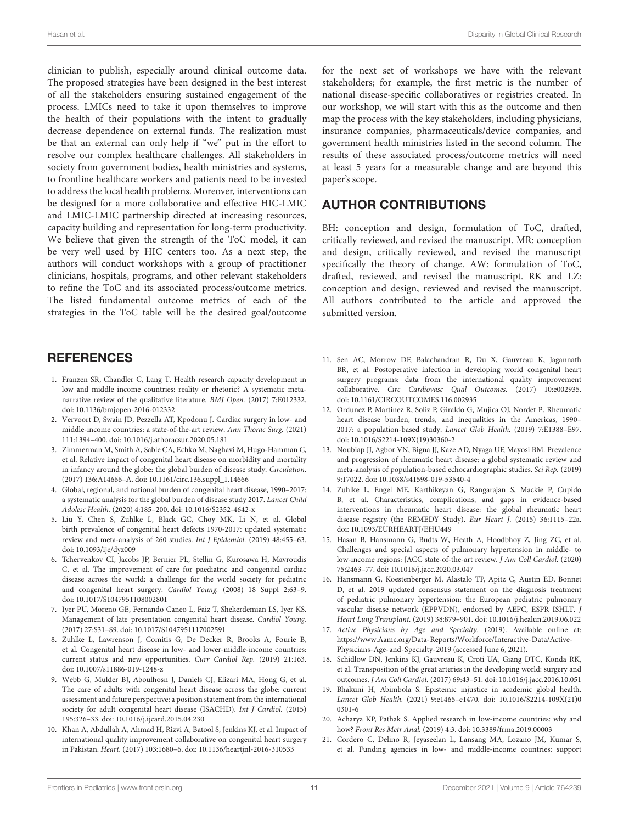clinician to publish, especially around clinical outcome data. The proposed strategies have been designed in the best interest of all the stakeholders ensuring sustained engagement of the process. LMICs need to take it upon themselves to improve the health of their populations with the intent to gradually decrease dependence on external funds. The realization must be that an external can only help if "we" put in the effort to resolve our complex healthcare challenges. All stakeholders in society from government bodies, health ministries and systems, to frontline healthcare workers and patients need to be invested to address the local health problems. Moreover, interventions can be designed for a more collaborative and effective HIC-LMIC and LMIC-LMIC partnership directed at increasing resources, capacity building and representation for long-term productivity. We believe that given the strength of the ToC model, it can be very well used by HIC centers too. As a next step, the authors will conduct workshops with a group of practitioner clinicians, hospitals, programs, and other relevant stakeholders to refine the ToC and its associated process/outcome metrics. The listed fundamental outcome metrics of each of the strategies in the ToC table will be the desired goal/outcome

### **REFERENCES**

- <span id="page-11-0"></span>1. Franzen SR, Chandler C, Lang T. Health research capacity development in low and middle income countries: reality or rhetoric? A systematic metanarrative review of the qualitative literature. BMJ Open. (2017) 7:E012332. doi: [10.1136/bmjopen-2016-012332](https://doi.org/10.1136/bmjopen-2016-012332)
- <span id="page-11-1"></span>2. Vervoort D, Swain JD, Pezzella AT, Kpodonu J. Cardiac surgery in low- and middle-income countries: a state-of-the-art review. Ann Thorac Surg. (2021) 111:1394–400. doi: [10.1016/j.athoracsur.2020.05.181](https://doi.org/10.1016/j.athoracsur.2020.05.181)
- <span id="page-11-2"></span>3. Zimmerman M, Smith A, Sable CA, Echko M, Naghavi M, Hugo-Hamman C, et al. Relative impact of congenital heart disease on morbidity and mortality in infancy around the globe: the global burden of disease study. Circulation. (2017) 136:A14666–A. doi: [10.1161/circ.136.suppl\\_1.14666](https://doi.org/10.1161/circ.136.suppl_1.14666)
- <span id="page-11-3"></span>4. Global, regional, and national burden of congenital heart disease, 1990–2017: a systematic analysis for the global burden of disease study 2017. Lancet Child Adolesc Health. (2020) 4:185–200. doi: [10.1016/S2352-4642-x](https://doi.org/10.1016/S2352-4642-x)
- <span id="page-11-4"></span>5. Liu Y, Chen S, Zuhlke L, Black GC, Choy MK, Li N, et al. Global birth prevalence of congenital heart defects 1970-2017: updated systematic review and meta-analysis of 260 studies. Int J Epidemiol. (2019) 48:455–63. doi: [10.1093/ije/dyz009](https://doi.org/10.1093/ije/dyz009)
- <span id="page-11-5"></span>6. Tchervenkov CI, Jacobs JP, Bernier PL, Stellin G, Kurosawa H, Mavroudis C, et al. The improvement of care for paediatric and congenital cardiac disease across the world: a challenge for the world society for pediatric and congenital heart surgery. Cardiol Young. (2008) 18 Suppl 2:63–9. doi: [10.1017/S1047951108002801](https://doi.org/10.1017/S1047951108002801)
- <span id="page-11-6"></span>7. Iyer PU, Moreno GE, Fernando Caneo L, Faiz T, Shekerdemian LS, Iyer KS. Management of late presentation congenital heart disease. Cardiol Young. (2017) 27:S31–S9. doi: [10.1017/S1047951117002591](https://doi.org/10.1017/S1047951117002591)
- <span id="page-11-7"></span>8. Zuhlke L, Lawrenson J, Comitis G, De Decker R, Brooks A, Fourie B, et al. Congenital heart disease in low- and lower-middle-income countries: current status and new opportunities. Curr Cardiol Rep. (2019) 21:163. doi: [10.1007/s11886-019-1248-z](https://doi.org/10.1007/s11886-019-1248-z)
- <span id="page-11-8"></span>9. Webb G, Mulder BJ, Aboulhosn J, Daniels CJ, Elizari MA, Hong G, et al. The care of adults with congenital heart disease across the globe: current assessment and future perspective: a position statement from the international society for adult congenital heart disease (ISACHD). Int J Cardiol. (2015) 195:326–33. doi: [10.1016/j.ijcard.2015.04.230](https://doi.org/10.1016/j.ijcard.2015.04.230)
- <span id="page-11-9"></span>10. Khan A, Abdullah A, Ahmad H, Rizvi A, Batool S, Jenkins KJ, et al. Impact of international quality improvement collaborative on congenital heart surgery in Pakistan. Heart. (2017) 103:1680–6. doi: [10.1136/heartjnl-2016-310533](https://doi.org/10.1136/heartjnl-2016-310533)

for the next set of workshops we have with the relevant stakeholders; for example, the first metric is the number of national disease-specific collaboratives or registries created. In our workshop, we will start with this as the outcome and then map the process with the key stakeholders, including physicians, insurance companies, pharmaceuticals/device companies, and government health ministries listed in the second column. The results of these associated process/outcome metrics will need at least 5 years for a measurable change and are beyond this paper's scope.

### AUTHOR CONTRIBUTIONS

BH: conception and design, formulation of ToC, drafted, critically reviewed, and revised the manuscript. MR: conception and design, critically reviewed, and revised the manuscript specifically the theory of change. AW: formulation of ToC, drafted, reviewed, and revised the manuscript. RK and LZ: conception and design, reviewed and revised the manuscript. All authors contributed to the article and approved the submitted version.

- <span id="page-11-10"></span>11. Sen AC, Morrow DF, Balachandran R, Du X, Gauvreau K, Jagannath BR, et al. Postoperative infection in developing world congenital heart surgery programs: data from the international quality improvement collaborative. Circ Cardiovasc Qual Outcomes. (2017) 10:e002935. doi: [10.1161/CIRCOUTCOMES.116.002935](https://doi.org/10.1161/CIRCOUTCOMES.116.002935)
- <span id="page-11-11"></span>12. Ordunez P, Martinez R, Soliz P, Giraldo G, Mujica OJ, Nordet P. Rheumatic heart disease burden, trends, and inequalities in the Americas, 1990– 2017: a population-based study. Lancet Glob Health. (2019) 7:E1388–E97. doi: [10.1016/S2214-109X\(19\)30360-2](https://doi.org/10.1016/S2214-109X(19)30360-2)
- <span id="page-11-12"></span>13. Noubiap JJ, Agbor VN, Bigna JJ, Kaze AD, Nyaga UF, Mayosi BM. Prevalence and progression of rheumatic heart disease: a global systematic review and meta-analysis of population-based echocardiographic studies. Sci Rep. (2019) 9:17022. doi: [10.1038/s41598-019-53540-4](https://doi.org/10.1038/s41598-019-53540-4)
- <span id="page-11-13"></span>14. Zuhlke L, Engel ME, Karthikeyan G, Rangarajan S, Mackie P, Cupido B, et al. Characteristics, complications, and gaps in evidence-based interventions in rheumatic heart disease: the global rheumatic heart disease registry (the REMEDY Study). Eur Heart J. (2015) 36:1115–22a. doi: [10.1093/EURHEARTJ/EHU449](https://doi.org/10.1093/EURHEARTJ/EHU449)
- <span id="page-11-14"></span>15. Hasan B, Hansmann G, Budts W, Heath A, Hoodbhoy Z, Jing ZC, et al. Challenges and special aspects of pulmonary hypertension in middle- to low-income regions: JACC state-of-the-art review. J Am Coll Cardiol. (2020) 75:2463–77. doi: [10.1016/j.jacc.2020.03.047](https://doi.org/10.1016/j.jacc.2020.03.047)
- 16. Hansmann G, Koestenberger M, Alastalo TP, Apitz C, Austin ED, Bonnet D, et al. 2019 updated consensus statement on the diagnosis treatment of pediatric pulmonary hypertension: the European pediatric pulmonary vascular disease network (EPPVDN), endorsed by AEPC, ESPR ISHLT. J Heart Lung Transplant. (2019) 38:879–901. doi: [10.1016/j.healun.2019.06.022](https://doi.org/10.1016/j.healun.2019.06.022)
- <span id="page-11-15"></span>17. Active Physicians by Age and Specialty. (2019). Available online at: [https://www.Aamc.org/Data-Reports/Workforce/Interactive-Data/Active-](https://www.Aamc.org/Data-Reports/Workforce/Interactive-Data/Active-Physicians-Age-and-Specialty-2019)[Physicians-Age-and-Specialty-2019](https://www.Aamc.org/Data-Reports/Workforce/Interactive-Data/Active-Physicians-Age-and-Specialty-2019) (accessed June 6, 2021).
- <span id="page-11-16"></span>18. Schidlow DN, Jenkins KJ, Gauvreau K, Croti UA, Giang DTC, Konda RK, et al. Transposition of the great arteries in the developing world: surgery and outcomes. J Am Coll Cardiol. (2017) 69:43–51. doi: [10.1016/j.jacc.2016.10.051](https://doi.org/10.1016/j.jacc.2016.10.051)
- <span id="page-11-17"></span>19. Bhakuni H, Abimbola S. Epistemic injustice in academic global health. Lancet Glob Health. [\(2021\) 9:e1465–e1470. doi: 10.1016/S2214-109X\(21\)0](https://doi.org/10.1016/S2214-109X(21)00301-6) 0301-6
- <span id="page-11-18"></span>20. Acharya KP, Pathak S. Applied research in low-income countries: why and how? Front Res Metr Anal. (2019) 4:3. doi: [10.3389/frma.2019.00003](https://doi.org/10.3389/frma.2019.00003)
- <span id="page-11-19"></span>21. Cordero C, Delino R, Jeyaseelan L, Lansang MA, Lozano JM, Kumar S, et al. Funding agencies in low- and middle-income countries: support